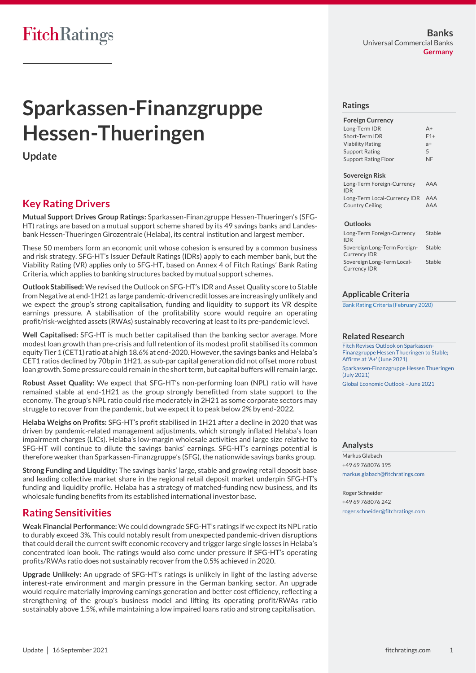# **Sparkassen-Finanzgruppe Hessen-Thueringen**

**Update**

# **Key Rating Drivers**

**Mutual Support Drives Group Ratings:** Sparkassen-Finanzgruppe Hessen-Thueringen's (SFG-HT) ratings are based on a mutual support scheme shared by its 49 savings banks and Landesbank Hessen-Thueringen Girozentrale (Helaba), its central institution and largest member.

These 50 members form an economic unit whose cohesion is ensured by a common business and risk strategy. SFG-HT's Issuer Default Ratings (IDRs) apply to each member bank, but the Viability Rating (VR) applies only to SFG-HT, based on Annex 4 of Fitch Ratings' Bank Rating Criteria, which applies to banking structures backed by mutual support schemes.

**Outlook Stabilised:** We revised the Outlook on SFG-HT's IDR and Asset Quality score to Stable from Negative at end-1H21 as large pandemic-driven credit losses are increasingly unlikely and we expect the group's strong capitalisation, funding and liquidity to support its VR despite earnings pressure. A stabilisation of the profitability score would require an operating profit/risk-weighted assets (RWAs) sustainably recovering at least to its pre-pandemic level.

**Well Capitalised:** SFG-HT is much better capitalised than the banking sector average. More modest loan growth than pre-crisis and full retention of its modest profit stabilised its common equity Tier 1 (CET1) ratio at a high 18.6%at end-2020. However, the savings banks and Helaba's CET1 ratios declined by 70bp in 1H21, as sub-par capital generation did not offset more robust loan growth. Some pressure could remain in the short term, but capital buffers will remain large.

**Robust Asset Quality:** We expect that SFG-HT's non-performing loan (NPL) ratio will have remained stable at end-1H21 as the group strongly benefitted from state support to the economy. The group's NPL ratio could rise moderately in 2H21 as some corporate sectors may struggle to recover from the pandemic, but we expect it to peak below 2% by end-2022.

**Helaba Weighs on Profits:** SFG-HT's profit stabilised in 1H21 after a decline in 2020 that was driven by pandemic-related management adjustments, which strongly inflated Helaba's loan impairment charges (LICs). Helaba's low-margin wholesale activities and large size relative to SFG-HT will continue to dilute the savings banks' earnings. SFG-HT's earnings potential is therefore weaker than Sparkassen-Finanzgruppe's (SFG), the nationwide savings banks group.

**Strong Funding and Liquidity:** The savings banks' large, stable and growing retail deposit base and leading collective market share in the regional retail deposit market underpin SFG-HT's funding and liquidity profile. Helaba has a strategy of matched-funding new business, and its wholesale funding benefits from its established international investor base.

# **Rating Sensitivities**

**Weak Financial Performance:** We could downgrade SFG-HT's ratings if we expect its NPL ratio to durably exceed 3%. This could notably result from unexpected pandemic-driven disruptions that could derail the current swift economic recovery and trigger large single losses in Helaba's concentrated loan book. The ratings would also come under pressure if SFG-HT's operating profits/RWAs ratio does not sustainably recover from the 0.5% achieved in 2020.

**Upgrade Unlikely:** An upgrade of SFG-HT's ratings is unlikely in light of the lasting adverse interest-rate environment and margin pressure in the German banking sector. An upgrade would require materially improving earnings generation and better cost efficiency, reflecting a strengthening of the group's business model and lifting its operating profit/RWAs ratio sustainably above 1.5%, while maintaining a low impaired loans ratio and strong capitalisation.

# **Ratings**

| $A+$  |
|-------|
| $F1+$ |
| $a+$  |
| 5     |
| NF    |
|       |

### **Sovereign Risk**

| Long-Term Foreign-Currency       | AAA |
|----------------------------------|-----|
| <b>IDR</b>                       |     |
| Long-Term Local-Currency IDR AAA |     |
| Country Ceiling                  | AAA |

## **Outlooks**

| Long-Term Foreign-Currency                 | Stable |
|--------------------------------------------|--------|
| <b>IDR</b><br>Sovereign Long-Term Foreign- | Stable |
| <b>Currency IDR</b>                        |        |
| Sovereign Long-Term Local-                 | Stable |
| <b>Currency IDR</b>                        |        |

# **Applicable Criteria**

[Bank Rating Criteria \(February 2020\)](https://app.fitchconnect.com/search/research/article/FR_RPT_10110041)

## **Related Research**

[Fitch Revises Outlook on Sparkassen-](https://app.fitchconnect.com/search/research/article/FR_PR_10168375)[Finanzgruppe Hessen Thueringen to Stable;](https://app.fitchconnect.com/search/research/article/FR_PR_10168375)  [Affirms at 'A+' \(June 2021\)](https://app.fitchconnect.com/search/research/article/FR_PR_10168375) [Sparkassen-Finanzgruppe Hessen Thueringen](https://app.fitchconnect.com/search/research/article/FR_RPT_10169121)  [\(July 2021\)](https://app.fitchconnect.com/search/research/article/FR_RPT_10169121) [Global Economic Outlook](https://app.fitchconnect.com/search/research/article/FR_RPT_10166250) –June 2021

# **Analysts**

Markus Glabach +49 69 768076 195 [markus.glabach@fitchratings.com](mailto:markus.glabach@fitchratings.com)

Roger Schneider +49 69 768076 242 [roger.schneider@fitchratings.com](mailto:roger.schneider@fitchratings.com)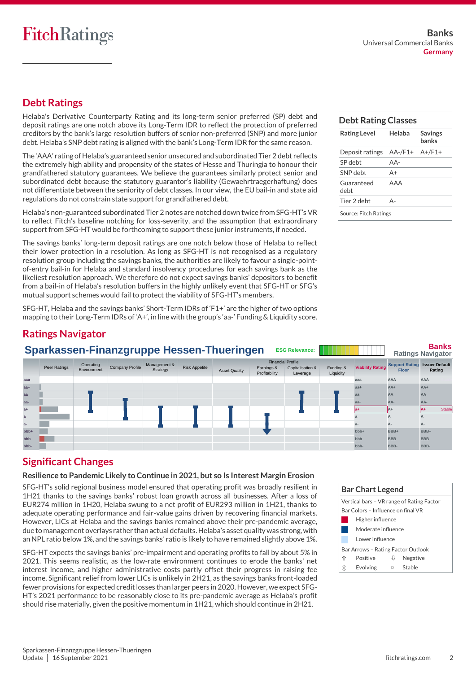# **FitchRatings**

# **Debt Ratings**

Helaba's Derivative Counterparty Rating and its long-term senior preferred (SP) debt and deposit ratings are one notch above its Long-Term IDR to reflect the protection of preferred creditors by the bank's large resolution buffers of senior non-preferred (SNP) and more junior debt. Helaba's SNP debt rating is aligned with the bank's Long-Term IDR for the same reason.

The 'AAA' rating of Helaba's guaranteed senior unsecured and subordinated Tier 2 debt reflects the extremely high ability and propensity of the states of Hesse and Thuringia to honour their grandfathered statutory guarantees. We believe the guarantees similarly protect senior and subordinated debt because the statutory guarantor's liability (Gewaehrtraegerhaftung) does not differentiate between the seniority of debt classes. In our view, the EU bail-in and state aid regulations do not constrain state support for grandfathered debt.

Helaba's non-guaranteed subordinated Tier 2 notes are notched down twice from SFG-HT's VR to reflect Fitch's baseline notching for loss-severity, and the assumption that extraordinary support from SFG-HT would be forthcoming to support these junior instruments, if needed.

The savings banks' long-term deposit ratings are one notch below those of Helaba to reflect their lower protection in a resolution. As long as SFG-HT is not recognised as a regulatory resolution group including the savings banks, the authorities are likely to favour a single-pointof-entry bail-in for Helaba and standard insolvency procedures for each savings bank as the likeliest resolution approach. We therefore do not expect savings banks' depositors to benefit from a bail-in of Helaba's resolution buffers in the highly unlikely event that SFG-HT or SFG's mutual support schemes would fail to protect the viability of SFG-HT's members.

SFG-HT, Helaba and the savings banks' Short-Term IDRs of 'F1+' are the higher of two options mapping to their Long-Term IDRs of 'A+', in line with the group's 'aa-' Funding & Liquidity score.

# **Debt Rating Classes**

| <b>Rating Level</b>   | Helaba  | <b>Savings</b><br>banks |  |  |  |
|-----------------------|---------|-------------------------|--|--|--|
| Deposit ratings       | AA-/F1+ | $A+/F1+$                |  |  |  |
| SP debt               | $AA-$   |                         |  |  |  |
| SNP debt              | $A +$   |                         |  |  |  |
| Guaranteed<br>debt    | AAA     |                         |  |  |  |
| Tier 2 debt           | Δ-      |                         |  |  |  |
| Source: Fitch Ratings |         |                         |  |  |  |

# **Ratings Navigator**

|                  | Sparkassen-Finanzgruppe Hessen-Thueringen<br><b>ESG Relevance:</b> |                          |                        |                          |                      |                      |                                                         |                              | <b>Banks</b><br><b>Ratings Navigator</b> |                         |                                                      |               |
|------------------|--------------------------------------------------------------------|--------------------------|------------------------|--------------------------|----------------------|----------------------|---------------------------------------------------------|------------------------------|------------------------------------------|-------------------------|------------------------------------------------------|---------------|
|                  | Peer Ratings                                                       | Operating<br>Environment | <b>Company Profile</b> | Management &<br>Strategy | <b>Risk Appetite</b> | <b>Asset Quality</b> | <b>Financial Profile</b><br>Earnings &<br>Profitability | Capitalisation &<br>Leverage | Funding &<br>Liquidity                   | <b>Viability Rating</b> | <b>Support Rating Issuer Default</b><br><b>Floor</b> | Rating        |
| aaa              |                                                                    |                          |                        |                          |                      |                      |                                                         |                              |                                          | aaa                     | AAA                                                  | <b>AAA</b>    |
| $aa+$            |                                                                    |                          |                        |                          |                      |                      |                                                         |                              |                                          | $aa+$                   | $AA+$                                                | $AA+$         |
| aa               |                                                                    |                          |                        |                          |                      |                      |                                                         |                              |                                          | aa                      | AA                                                   | AA            |
| $aa-$            |                                                                    |                          |                        |                          |                      |                      |                                                         |                              |                                          | aa-                     | AA-                                                  | AA-           |
| $a+$             |                                                                    |                          |                        |                          |                      |                      |                                                         |                              |                                          |                         | IA+                                                  | <b>Stable</b> |
| a                |                                                                    |                          |                        |                          |                      |                      |                                                         |                              |                                          |                         | A                                                    |               |
| $a-$             |                                                                    |                          |                        |                          |                      |                      |                                                         |                              |                                          | $a -$                   | A-                                                   | A-            |
| bb <sub>b+</sub> |                                                                    |                          |                        |                          |                      |                      |                                                         |                              |                                          | $bbb +$                 | BBB+                                                 | BBB+          |
| bbb              |                                                                    |                          |                        |                          |                      |                      |                                                         |                              |                                          | bbb                     | <b>BBB</b>                                           | <b>BBB</b>    |
| bbb-             |                                                                    |                          |                        |                          |                      |                      |                                                         |                              |                                          | bbb-                    | BBB-                                                 | BBB-          |

# **Significant Changes**

# **Resilience to Pandemic Likely toContinue in 2021, but so Is Interest Margin Erosion**

SFG-HT's solid regional business model ensured that operating profit was broadly resilient in 1H21 thanks to the savings banks' robust loan growth across all businesses. After a loss of EUR274 million in 1H20, Helaba swung to a net profit of EUR293 million in 1H21, thanks to adequate operating performance and fair-value gains driven by recovering financial markets. However, LICs at Helaba and the savings banks remained above their pre-pandemic average, due to management overlays rather than actual defaults.Helaba's asset quality was strong, with an NPL ratio below 1%, and the savings banks' ratio is likely to have remained slightly above 1%.

SFG-HT expects the savings banks' pre-impairment and operating profits to fall by about 5% in 2021. This seems realistic, as the low-rate environment continues to erode the banks' net interest income, and higher administrative costs partly offset their progress in raising fee income. Significant relief from lower LICs is unlikely in 2H21, as the savings banks front-loaded fewer provisions for expected credit losses than larger peers in 2020. However, we expect SFG-HT's 2021 performance to be reasonably close to its pre-pandemic average as Helaba's profit should rise materially, given the positive momentum in 1H21, which should continue in 2H21.

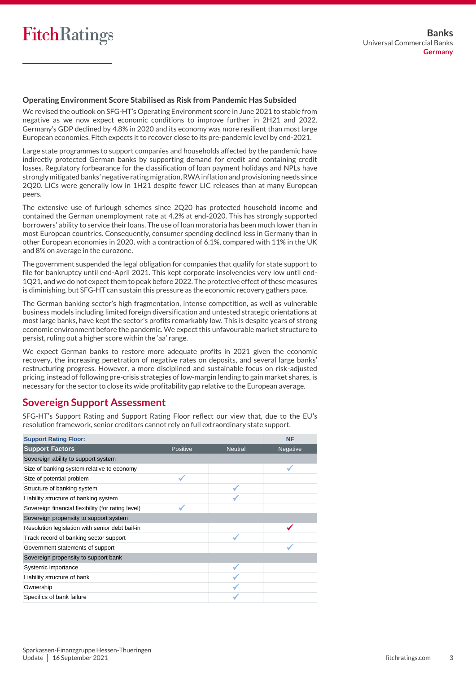# **Operating Environment Score Stabilised as Risk from Pandemic Has Subsided**

We revised the outlook on SFG-HT's Operating Environment score in June 2021 to stable from negative as we now expect economic conditions to improve further in 2H21 and 2022. Germany's GDP declined by 4.8% in 2020 and its economy was more resilient than most large European economies. Fitch expects it to recover close to its pre-pandemic level by end-2021.

Large state programmes to support companies and households affected by the pandemic have indirectly protected German banks by supporting demand for credit and containing credit losses. Regulatory forbearance for the classification of loan payment holidays and NPLs have strongly mitigated banks' negative rating migration, RWA inflation and provisioning needs since 2Q20. LICs were generally low in 1H21 despite fewer LIC releases than at many European peers.

The extensive use of furlough schemes since 2Q20 has protected household income and contained the German unemployment rate at 4.2% at end-2020. This has strongly supported borrowers' ability to service their loans. The use of loan moratoria has been much lower than in most European countries. Consequently, consumer spending declined less in Germany than in other European economies in 2020, with a contraction of 6.1%, compared with 11% in the UK and 8% on average in the eurozone.

The government suspended the legal obligation for companies that qualify for state support to file for bankruptcy until end-April 2021. This kept corporate insolvencies very low until end-1Q21, and we do not expect them to peak before 2022. The protective effect of these measures is diminishing, but SFG-HT can sustain this pressure as the economic recovery gathers pace.

The German banking sector's high fragmentation, intense competition, as well as vulnerable business models including limited foreign diversification and untested strategic orientations at most large banks, have kept the sector's profits remarkably low. This is despite years of strong economic environment before the pandemic. We expect this unfavourable market structure to persist, ruling out a higher score within the 'aa' range.

We expect German banks to restore more adequate profits in 2021 given the economic recovery, the increasing penetration of negative rates on deposits, and several large banks' restructuring progress. However, a more disciplined and sustainable focus on risk-adjusted pricing, instead of following pre-crisis strategies of low-margin lending to gain market shares, is necessary for the sector to close its wide profitability gap relative to the European average.

### **Sovereign Support Assessment Support Rating Floor**

SFG-HT's Support Rating and Support Rating Floor reflect our view that, due to the EU's resolution framework, senior creditors cannot rely on full extraordinary state support.  $50$ -C-M is support Kating and support Kating Floor reflect

| <b>Support Rating Floor:</b>                       |          |                | <b>NF</b>       |
|----------------------------------------------------|----------|----------------|-----------------|
| <b>Support Factors</b>                             | Positive | <b>Neutral</b> | <b>Negative</b> |
| Sovereign ability to support system                |          |                |                 |
| Size of banking system relative to economy         |          |                |                 |
| Size of potential problem                          |          |                |                 |
| Structure of banking system                        |          |                |                 |
| Liability structure of banking system              |          |                |                 |
| Sovereign financial flexibility (for rating level) |          |                |                 |
| Sovereign propensity to support system             |          |                |                 |
| Resolution legislation with senior debt bail-in    |          |                |                 |
| Track record of banking sector support             |          |                |                 |
| Government statements of support                   |          |                |                 |
| Sovereign propensity to support bank               |          |                |                 |
| Systemic importance                                |          |                |                 |
| Liability structure of bank                        |          |                |                 |
| Ownership                                          |          |                |                 |
| Specifics of bank failure                          |          |                |                 |

Government ownership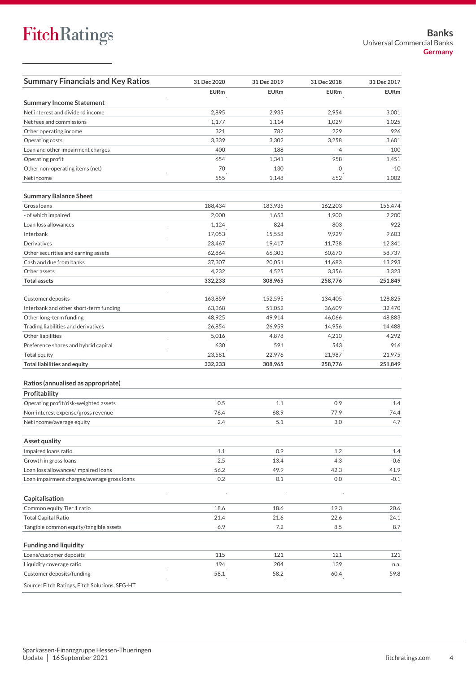| <b>Summary Financials and Key Ratios</b>       | 31 Dec 2020 | 31 Dec 2019 | 31 Dec 2018  | 31 Dec 2017 |
|------------------------------------------------|-------------|-------------|--------------|-------------|
|                                                | <b>EURm</b> | <b>EURm</b> | <b>EURm</b>  | <b>EURm</b> |
| <b>Summary Income Statement</b>                |             |             |              |             |
| Net interest and dividend income               | 2,895       | 2,935       | 2,954        | 3,001       |
| Net fees and commissions                       | 1,177       | 1.114       | 1,029        | 1,025       |
| Other operating income                         | 321         | 782         | 229          | 926         |
| Operating costs                                | 3,339       | 3,302       | 3,258        | 3,601       |
| Loan and other impairment charges              | 400         | 188         | $-4$         | $-100$      |
| Operating profit                               | 654         | 1,341       | 958          | 1,451       |
| Other non-operating items (net)                | 70          | 130         | $\mathbf{0}$ | $-10$       |
| Net income                                     | 555         | 1,148       | 652          | 1,002       |
| <b>Summary Balance Sheet</b>                   |             |             |              |             |
| Gross Ioans                                    | 188,434     | 183,935     | 162,203      | 155,474     |
| - of which impaired                            | 2,000       | 1,653       | 1,900        | 2,200       |
| Loan loss allowances                           | 1,124       | 824         | 803          | 922         |
| Interbank                                      | 17,053      | 15,558      | 9,929        | 9,603       |
| Derivatives                                    | 23,467      | 19,417      | 11,738       | 12,341      |
| Other securities and earning assets            | 62,864      | 66,303      | 60,670       | 58,737      |
| Cash and due from banks                        | 37,307      | 20,051      | 11,683       | 13,293      |
| Other assets                                   | 4,232       | 4,525       | 3,356        | 3,323       |
| <b>Total assets</b>                            | 332,233     | 308,965     | 258,776      | 251,849     |
| Customer deposits                              | 163,859     | 152,595     | 134,405      | 128,825     |
| Interbank and other short-term funding         | 63,368      | 51,052      | 36,609       | 32,470      |
| Other long-term funding                        | 48,925      | 49,914      | 46,066       | 48,883      |
| Trading liabilities and derivatives            | 26,854      | 26,959      | 14,956       | 14,488      |
| Other liabilities                              | 5,016       | 4,878       | 4,210        | 4,292       |
| Preference shares and hybrid capital           | 630         | 591         | 543          | 916         |
| Total equity                                   | 23,581      | 22,976      | 21,987       | 21,975      |
| <b>Total liabilities and equity</b>            | 332,233     | 308,965     | 258,776      | 251,849     |
| Ratios (annualised as appropriate)             |             |             |              |             |
| Profitability                                  |             |             |              |             |
| Operating profit/risk-weighted assets          | 0.5         | 1.1         | 0.9          | 1.4         |
| Non-interest expense/gross revenue             | 76.4        | 68.9        | 77.9         | 74.4        |
| Net income/average equity                      | 2.4         | 5.1         | 3.0          | 4.7         |
| Asset quality                                  |             |             |              |             |
| Impaired loans ratio                           | 1.1         | 0.9         | 1.2          | 1.4         |
| Growth in gross loans                          | 2.5         | 13.4        | 4.3          | $-0.6$      |
| Loan loss allowances/impaired loans            | 56.2        | 49.9        | 42.3         | 41.9        |
| Loan impairment charges/average gross loans    | 0.2         | 0.1         | 0.0          | $-0.1$      |
| Capitalisation                                 |             |             |              |             |
| Common equity Tier 1 ratio                     | 18.6        | 18.6        | 19.3         | 20.6        |
| <b>Total Capital Ratio</b>                     | 21.4        | 21.6        | 22.6         | 24.1        |
| Tangible common equity/tangible assets         | 6.9         | 7.2         | 8.5          | 8.7         |
| <b>Funding and liquidity</b>                   |             |             |              |             |
| Loans/customer deposits                        | 115         | 121         | 121          | 121         |
| Liquidity coverage ratio                       | 194         | 204         | 139          | n.a.        |
| Customer deposits/funding                      | 58.1        | 58.2        | 60.4         | 59.8        |
| Source: Fitch Ratings, Fitch Solutions, SFG-HT |             |             |              |             |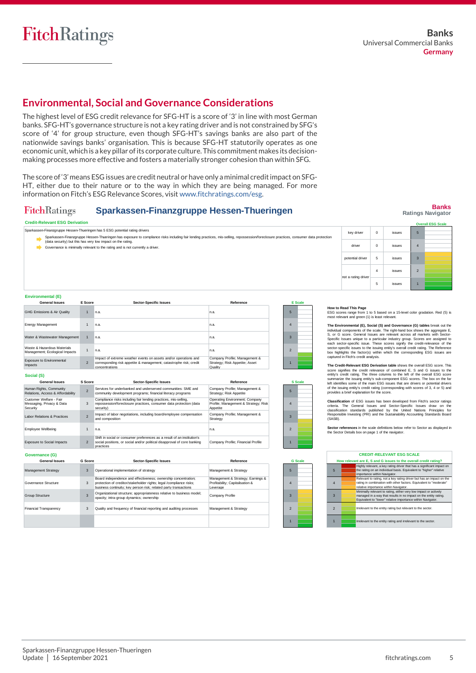# **Environmental, Social and Governance Considerations**

The highest level of ESG credit relevance for SFG-HT is a score of '3' in line with most German banks. SFG-HT's governance structure is not a key rating driver and is not constrained by SFG's score of '4' for group structure, even though SFG-HT's savings banks are also part of the nationwide savings banks' organisation. This is because SFG-HT statutorily operates as one economic unit, which is a key pillar of its corporate culture. This commitment makes its decisionmaking processes more effective and fosters a materially stronger cohesion than within SFG.

The score of'3' means ESG issues are credit neutral or have only a minimal creditimpact on SFG-HT, either due to their nature or to the way in which they are being managed. For more information on Fitch's ESG Relevance Scores, visi[t www.fitchratings.com/esg.](http://www.fitchratings.com/esg)

#### **Sparkassen-Finanzgruppe Hessen-Thueringen FitchRatings**

#### **Credit-Relevant ESG Derivation**

5 4 3 Governance is minimally relevant to the rating and is not currently a driver. Sparkassen-Finanzgruppe Hessen-Thueringen has exposure to compliance risks including fair lending practices, mis-selling, repossession/foreclosure practices, consumer data protection<br>data security) but this has very low im Sparkassen-Finanzgruppe Hessen-Thueringen has 5 ESG potential rating drivers key driver 0 issues driver 0 issues potential driver 5 issues

| Environmental (E)                                             |                          |                                                                                                                                                          |                                                                            |                          |                |  |
|---------------------------------------------------------------|--------------------------|----------------------------------------------------------------------------------------------------------------------------------------------------------|----------------------------------------------------------------------------|--------------------------|----------------|--|
| <b>General Issues</b>                                         | E Score                  | <b>Sector-Specific Issues</b>                                                                                                                            | Reference                                                                  |                          | <b>E</b> Scale |  |
| GHG Emissions & Air Quality                                   | и                        | n.a.                                                                                                                                                     | n.a.                                                                       | 5                        |                |  |
| <b>Energy Management</b>                                      | 1                        | n.a.                                                                                                                                                     | n.a.                                                                       | 4                        |                |  |
| Water & Wastewater Management                                 |                          | n.a.                                                                                                                                                     | n.a.                                                                       | $\mathbf{3}$             |                |  |
| Waste & Hazardous Materials<br>Management; Ecological Impacts | 1                        | n.a.                                                                                                                                                     | n.a.                                                                       | $\overline{\phantom{0}}$ |                |  |
| Exposure to Environmental<br>Impacts                          | $\overline{\phantom{0}}$ | Impact of extreme weather events on assets and/or operations and<br>corresponding risk appetite & management; catastrophe risk; credit<br>concentrations | Company Profile; Management &<br>Strategy; Risk Appetite; Asset<br>Quality |                          |                |  |
| Social (S)                                                    |                          |                                                                                                                                                          |                                                                            |                          |                |  |
| <b>General Issues</b>                                         | <b>S</b> Score           | <b>Sector-Specific Issues</b>                                                                                                                            | Reference                                                                  |                          | <b>S</b> Scale |  |
|                                                               |                          |                                                                                                                                                          | .                                                                          |                          |                |  |

| Human Rights, Community<br>Relations, Access & Affordability     | $\overline{\phantom{0}}$ | Services for underbanked and underserved communities: SME and<br>community development programs; financial literacy programs                                     | Company Profile; Management &<br>Strategy; Risk Appetite                           | 5                        |  |
|------------------------------------------------------------------|--------------------------|------------------------------------------------------------------------------------------------------------------------------------------------------------------|------------------------------------------------------------------------------------|--------------------------|--|
| Customer Welfare - Fair<br>Messaging, Privacy & Data<br>Security | 3                        | Compliance risks including fair lending practices, mis-selling,<br>repossession/foreclosure practices, consumer data protection (data<br>security)               | Operating Environment; Company<br>Profile; Management & Strategy; Risk<br>Appetite | 4                        |  |
| Labor Relations & Practices                                      | $\overline{\phantom{0}}$ | Impact of labor negotiations, including board/employee compensation<br>and composition                                                                           | Company Profile; Management &<br>Strategy                                          |                          |  |
| Employee Wellbeing                                               |                          | n.a.                                                                                                                                                             | n.a.                                                                               | $\overline{\mathcal{L}}$ |  |
| <b>Exposure to Social Impacts</b>                                | $\overline{2}$           | Shift in social or consumer preferences as a result of an institution's<br>social positions, or social and/or political disapproval of core banking<br>practices | Company Profile; Financial Profile                                                 |                          |  |
| Governance (G)                                                   |                          |                                                                                                                                                                  |                                                                                    |                          |  |

| <b>General Issues</b>      | G Score | <b>Sector-Specific Issues</b>                                                                                                                                                                             | Reference                                                                        |
|----------------------------|---------|-----------------------------------------------------------------------------------------------------------------------------------------------------------------------------------------------------------|----------------------------------------------------------------------------------|
| <b>Management Strategy</b> | 3       | Operational implementation of strategy                                                                                                                                                                    | Management & Strategy                                                            |
| Governance Structure       | 3       | Board independence and effectiveness; ownership concentration;<br>protection of creditor/stakeholder rights: legal /compliance risks:<br>business continuity: key person risk: related party transactions | Management & Strategy; Earnings &<br>Profitability: Capitalisation &<br>Leverage |
| Group Structure            | 3       | Organizational structure; appropriateness relative to business model;<br>opacity; intra-group dynamics; ownership                                                                                         | Company Profile                                                                  |
| Financial Transparency     | 3       | Quality and frequency of financial reporting and auditing processes                                                                                                                                       | Management & Strategy                                                            |
|                            |         |                                                                                                                                                                                                           |                                                                                  |

| $\overline{2}$ |                |
|----------------|----------------|
|                |                |
|                | <b>G</b> Scale |
| 5              |                |

|   | <b>CREDIT-RE</b>                                              |
|---|---------------------------------------------------------------|
|   | How relevant are E, S and                                     |
| 5 | Highly relevant, a<br>the rating on an i<br>importance within |
|   | Relevant to rating<br>rating in combina<br>relative importan  |
|   | Minimally relevar<br>managed in a wa<br>Equivalent to "lov    |
|   |                                                               |

**Banks Ratings Navigator**



#### **How to Read This Page**

The Environmental (E), Social (S) and Governance (G) tables break out the individual components of the scale. The right-hand box shows the aggregate E,<br>is, or G score. General Issues are relevant across all markets with Se **How to Read This Page**<br>
ESG scores range from 1 to 5 based on a 15-level color gradation. Red (5) is<br>
most relevant and green (1) is least relevant.<br> **The Environmental (E), Social (S) and Governance (G) tables** break out How to Read This Page<br>ESG scores range from 1 to 5 based on a 15-level color gradation. Red (5) is<br>most relevant and green (1) is least relevant.<br>The Environmental (E), Social (S) and Governance (G) tables break out the<br>in captured in Fitch's credit analysis. The Environmental (E), Social (S) and Governance (G) tables break out the credit relevant of create. The credit relevant across all markets with Sector-Specific issues are relevant across all markets with Sector-Search sec

**The Credit-Relevant ESG Derivation table** shows the overall ESG score. This summarize the issuing entity's sub-component ESG scores. The box on the far<br>left identifies some of the main ESG issues that are drivers or potential drivers<br>of the issuing entity's credit rating (corresponding with scores

Classification of ESG issues has been developed from Frich's sector ratings<br>criteria. The General Issues and Sector-Specific Issues draw on the<br>classification standards published by the United Nations Principles for<br>Respon left identifies some of the main ESG issues that are drivers or potential drivers<br>of the issuing reittly's credit rating (corresponding with scores of 3, 4 or 5) and<br>provides a brief explanation for the score.<br>**Classificat** 

Sector references in the scale definitions below refer to Sector as displayed in the Sector Details box on page 1 of the navigator.

| <b>CREDIT-RELEVANT ESG SCALE</b>                                 |  |                                                                                                                                                                                                     |
|------------------------------------------------------------------|--|-----------------------------------------------------------------------------------------------------------------------------------------------------------------------------------------------------|
| How relevant are E, S and G issues to the overall credit rating? |  |                                                                                                                                                                                                     |
| 5                                                                |  | Highly relevant, a key rating driver that has a significant impact on<br>the rating on an individual basis. Equivalent to "higher" relative<br>importance within Navigator.                         |
|                                                                  |  | Relevant to rating, not a key rating driver but has an impact on the<br>rating in combination with other factors. Equivalent to "moderate"<br>relative importance within Navigator.                 |
| 3                                                                |  | Minimally relevant to rating, either very low impact or actively<br>managed in a way that results in no impact on the entity rating.<br>Equivalent to "lower" relative importance within Navigator. |
| $\mathfrak{p}$                                                   |  | Irrelevant to the entity rating but relevant to the sector.                                                                                                                                         |
|                                                                  |  | Irrelevant to the entity rating and irrelevant to the sector.                                                                                                                                       |